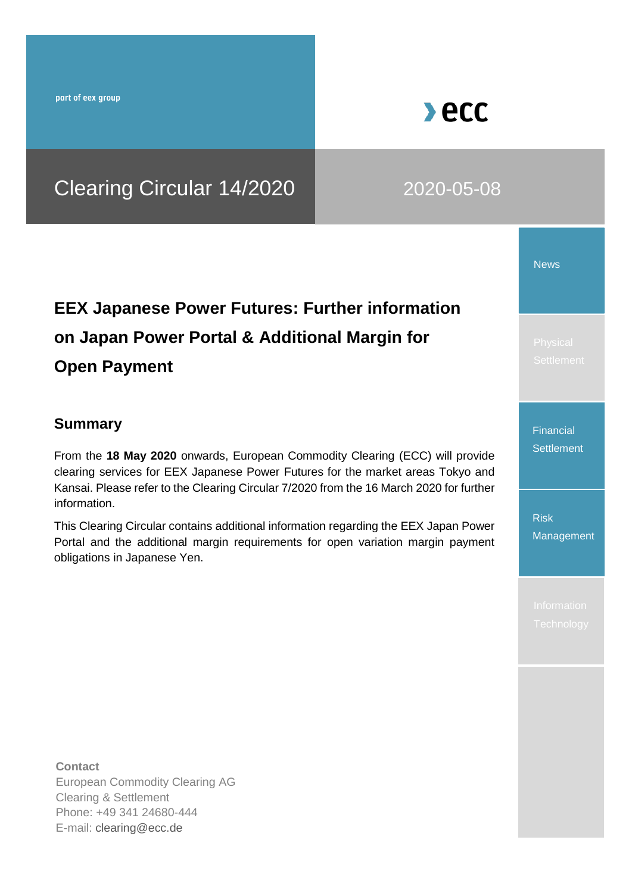part of eex group

# Clearing Circular 14/2020 2020-05-08

# **EEX Japanese Power Futures: Further information on Japan Power Portal & Additional Margin for Open Payment**

### **Summary**

From the **18 May 2020** onwards, European Commodity Clearing (ECC) will provide clearing services for EEX Japanese Power Futures for the market areas Tokyo and Kansai. Please refer to the Clearing Circular 7/2020 from the 16 March 2020 for further information.

This Clearing Circular contains additional information regarding the EEX Japan Power Portal and the additional margin requirements for open variation margin payment obligations in Japanese Yen.

News

Financial **Settlement** 

Risk **Management** 

**Contact** European Commodity Clearing AG Clearing & Settlement Phone: +49 341 24680-444 E-mail: [clearing@ecc.de](file:///C:/Users/soeren.tetzner/Desktop/clearing@ecc.de)

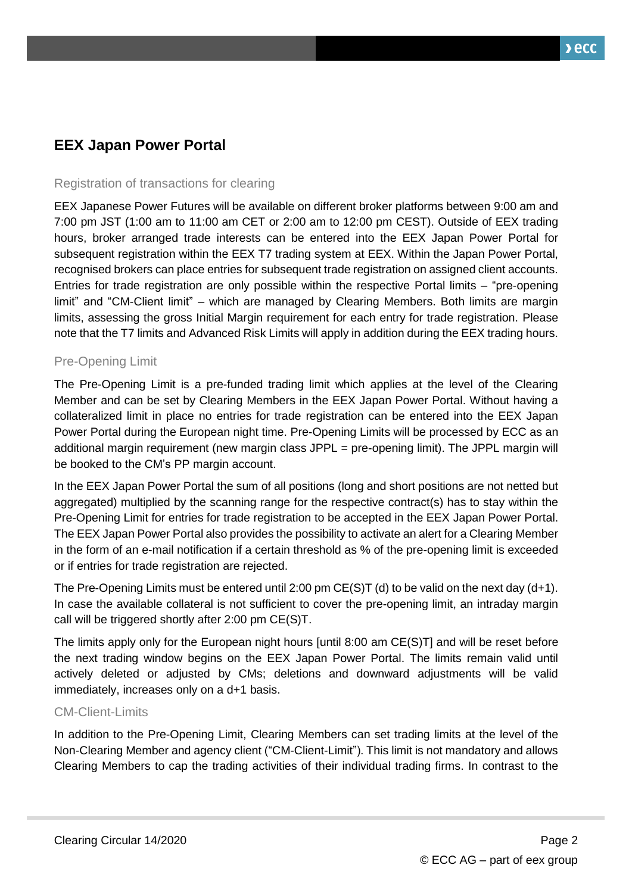## **EEX Japan Power Portal**

#### Registration of transactions for clearing

EEX Japanese Power Futures will be available on different broker platforms between 9:00 am and 7:00 pm JST (1:00 am to 11:00 am CET or 2:00 am to 12:00 pm CEST). Outside of EEX trading hours, broker arranged trade interests can be entered into the EEX Japan Power Portal for subsequent registration within the EEX T7 trading system at EEX. Within the Japan Power Portal, recognised brokers can place entries for subsequent trade registration on assigned client accounts. Entries for trade registration are only possible within the respective Portal limits – "pre-opening limit" and "CM-Client limit" – which are managed by Clearing Members. Both limits are margin limits, assessing the gross Initial Margin requirement for each entry for trade registration. Please note that the T7 limits and Advanced Risk Limits will apply in addition during the EEX trading hours.

#### Pre-Opening Limit

The Pre-Opening Limit is a pre-funded trading limit which applies at the level of the Clearing Member and can be set by Clearing Members in the EEX Japan Power Portal. Without having a collateralized limit in place no entries for trade registration can be entered into the EEX Japan Power Portal during the European night time. Pre-Opening Limits will be processed by ECC as an additional margin requirement (new margin class JPPL = pre-opening limit). The JPPL margin will be booked to the CM's PP margin account.

In the EEX Japan Power Portal the sum of all positions (long and short positions are not netted but aggregated) multiplied by the scanning range for the respective contract(s) has to stay within the Pre-Opening Limit for entries for trade registration to be accepted in the EEX Japan Power Portal. The EEX Japan Power Portal also provides the possibility to activate an alert for a Clearing Member in the form of an e-mail notification if a certain threshold as % of the pre-opening limit is exceeded or if entries for trade registration are rejected.

The Pre-Opening Limits must be entered until 2:00 pm  $CE(S)T$  (d) to be valid on the next day (d+1). In case the available collateral is not sufficient to cover the pre-opening limit, an intraday margin call will be triggered shortly after 2:00 pm CE(S)T.

The limits apply only for the European night hours [until 8:00 am CE(S)T] and will be reset before the next trading window begins on the EEX Japan Power Portal. The limits remain valid until actively deleted or adjusted by CMs; deletions and downward adjustments will be valid immediately, increases only on a d+1 basis.

#### CM-Client-Limits

In addition to the Pre-Opening Limit, Clearing Members can set trading limits at the level of the Non-Clearing Member and agency client ("CM-Client-Limit"). This limit is not mandatory and allows Clearing Members to cap the trading activities of their individual trading firms. In contrast to the